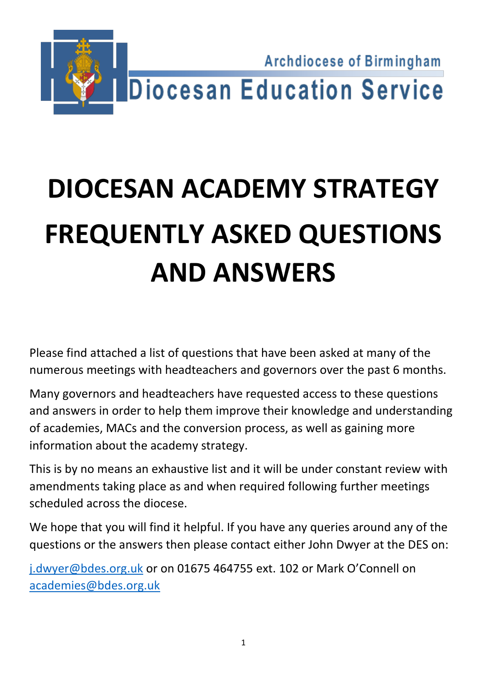

# **DIOCESAN ACADEMY STRATEGY FREQUENTLY ASKED QUESTIONS AND ANSWERS**

Please find attached a list of questions that have been asked at many of the numerous meetings with headteachers and governors over the past 6 months.

Many governors and headteachers have requested access to these questions and answers in order to help them improve their knowledge and understanding of academies, MACs and the conversion process, as well as gaining more information about the academy strategy.

This is by no means an exhaustive list and it will be under constant review with amendments taking place as and when required following further meetings scheduled across the diocese.

We hope that you will find it helpful. If you have any queries around any of the questions or the answers then please contact either John Dwyer at the DES on:

[j.dwyer@bdes.org.uk](mailto:j.dwyer@bdes.org.uk) or on 01675 464755 ext. 102 or Mark O'Connell on [academies@bdes.org.uk](mailto:academies@bdes.org.uk)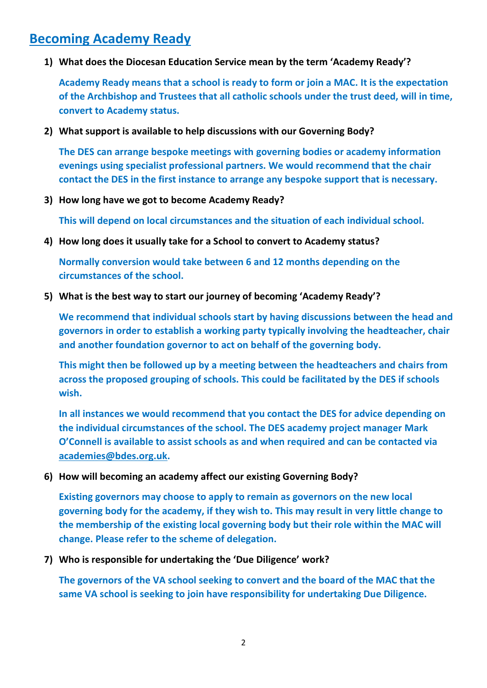# **Becoming Academy Ready**

**1) What does the Diocesan Education Service mean by the term 'Academy Ready'?**

**Academy Ready means that a school is ready to form or join a MAC. It is the expectation of the Archbishop and Trustees that all catholic schools under the trust deed, will in time, convert to Academy status.**

**2) What support is available to help discussions with our Governing Body?**

**The DES can arrange bespoke meetings with governing bodies or academy information evenings using specialist professional partners. We would recommend that the chair contact the DES in the first instance to arrange any bespoke support that is necessary.**

**3) How long have we got to become Academy Ready?**

**This will depend on local circumstances and the situation of each individual school.**

**4) How long does it usually take for a School to convert to Academy status?**

**Normally conversion would take between 6 and 12 months depending on the circumstances of the school.**

**5) What is the best way to start our journey of becoming 'Academy Ready'?**

**We recommend that individual schools start by having discussions between the head and governors in order to establish a working party typically involving the headteacher, chair and another foundation governor to act on behalf of the governing body.**

**This might then be followed up by a meeting between the headteachers and chairs from across the proposed grouping of schools. This could be facilitated by the DES if schools wish.**

**In all instances we would recommend that you contact the DES for advice depending on the individual circumstances of the school. The DES academy project manager Mark O'Connell is available to assist schools as and when required and can be contacted via [academies@bdes.org.uk.](mailto:academies@bdes.org.uk)**

**6) How will becoming an academy affect our existing Governing Body?**

**Existing governors may choose to apply to remain as governors on the new local governing body for the academy, if they wish to. This may result in very little change to the membership of the existing local governing body but their role within the MAC will change. Please refer to the scheme of delegation.**

**7) Who is responsible for undertaking the 'Due Diligence' work?**

**The governors of the VA school seeking to convert and the board of the MAC that the same VA school is seeking to join have responsibility for undertaking Due Diligence.**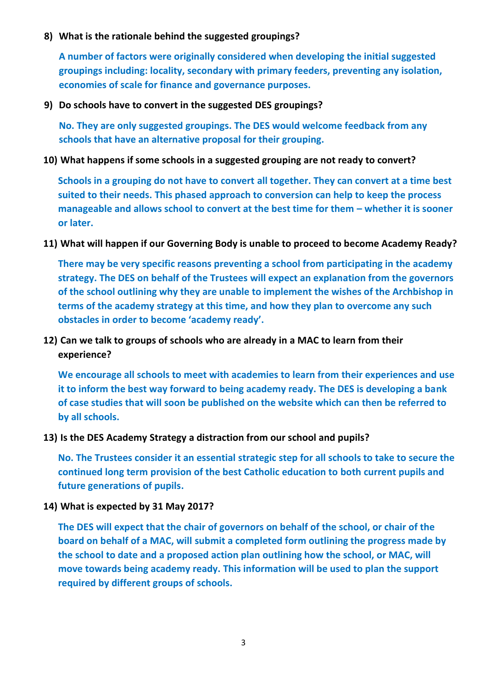#### **8) What is the rationale behind the suggested groupings?**

**A number of factors were originally considered when developing the initial suggested groupings including: locality, secondary with primary feeders, preventing any isolation, economies of scale for finance and governance purposes.**

#### **9) Do schools have to convert in the suggested DES groupings?**

**No. They are only suggested groupings. The DES would welcome feedback from any schools that have an alternative proposal for their grouping.** 

#### **10) What happens if some schools in a suggested grouping are not ready to convert?**

**Schools in a grouping do not have to convert all together. They can convert at a time best suited to their needs. This phased approach to conversion can help to keep the process manageable and allows school to convert at the best time for them – whether it is sooner or later.**

#### **11) What will happen if our Governing Body is unable to proceed to become Academy Ready?**

**There may be very specific reasons preventing a school from participating in the academy strategy. The DES on behalf of the Trustees will expect an explanation from the governors of the school outlining why they are unable to implement the wishes of the Archbishop in terms of the academy strategy at this time, and how they plan to overcome any such obstacles in order to become 'academy ready'.**

## **12) Can we talk to groups of schools who are already in a MAC to learn from their experience?**

**We encourage all schools to meet with academies to learn from their experiences and use it to inform the best way forward to being academy ready. The DES is developing a bank of case studies that will soon be published on the website which can then be referred to by all schools.**

#### **13) Is the DES Academy Strategy a distraction from our school and pupils?**

**No. The Trustees consider it an essential strategic step for all schools to take to secure the continued long term provision of the best Catholic education to both current pupils and future generations of pupils.**

#### **14) What is expected by 31 May 2017?**

**The DES will expect that the chair of governors on behalf of the school, or chair of the board on behalf of a MAC, will submit a completed form outlining the progress made by the school to date and a proposed action plan outlining how the school, or MAC, will move towards being academy ready. This information will be used to plan the support required by different groups of schools.**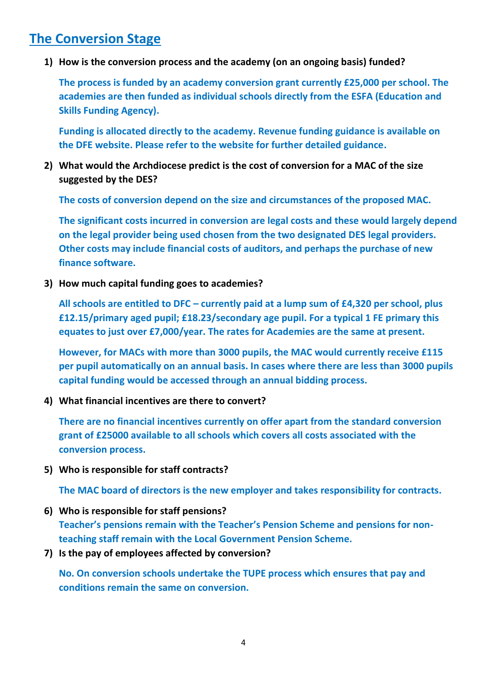# **The Conversion Stage**

**1) How is the conversion process and the academy (on an ongoing basis) funded?** 

**The process is funded by an academy conversion grant currently £25,000 per school. The academies are then funded as individual schools directly from the ESFA (Education and Skills Funding Agency).**

**Funding is allocated directly to the academy. Revenue funding guidance is available on the DFE website. Please refer to the website for further detailed guidance.**

**2) What would the Archdiocese predict is the cost of conversion for a MAC of the size suggested by the DES?** 

**The costs of conversion depend on the size and circumstances of the proposed MAC.** 

**The significant costs incurred in conversion are legal costs and these would largely depend on the legal provider being used chosen from the two designated DES legal providers. Other costs may include financial costs of auditors, and perhaps the purchase of new finance software.**

**3) How much capital funding goes to academies?**

**All schools are entitled to DFC – currently paid at a lump sum of £4,320 per school, plus £12.15/primary aged pupil; £18.23/secondary age pupil. For a typical 1 FE primary this equates to just over £7,000/year. The rates for Academies are the same at present.**

**However, for MACs with more than 3000 pupils, the MAC would currently receive £115 per pupil automatically on an annual basis. In cases where there are less than 3000 pupils capital funding would be accessed through an annual bidding process.**

**4) What financial incentives are there to convert?**

**There are no financial incentives currently on offer apart from the standard conversion grant of £25000 available to all schools which covers all costs associated with the conversion process.**

**5) Who is responsible for staff contracts?** 

**The MAC board of directors is the new employer and takes responsibility for contracts.**

- **6) Who is responsible for staff pensions? Teacher's pensions remain with the Teacher's Pension Scheme and pensions for nonteaching staff remain with the Local Government Pension Scheme.**
- **7) Is the pay of employees affected by conversion?**

**No. On conversion schools undertake the TUPE process which ensures that pay and conditions remain the same on conversion.**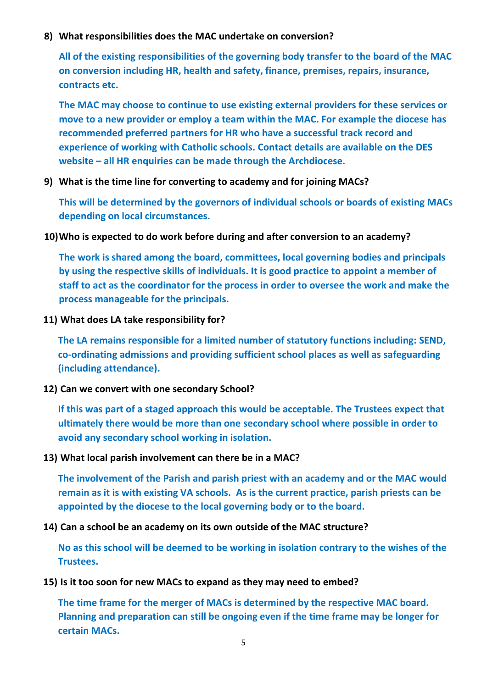#### **8) What responsibilities does the MAC undertake on conversion?**

**All of the existing responsibilities of the governing body transfer to the board of the MAC on conversion including HR, health and safety, finance, premises, repairs, insurance, contracts etc.**

**The MAC may choose to continue to use existing external providers for these services or move to a new provider or employ a team within the MAC. For example the diocese has recommended preferred partners for HR who have a successful track record and experience of working with Catholic schools. Contact details are available on the DES website – all HR enquiries can be made through the Archdiocese.**

**9) What is the time line for converting to academy and for joining MACs?**

**This will be determined by the governors of individual schools or boards of existing MACs depending on local circumstances.**

**10)Who is expected to do work before during and after conversion to an academy?**

**The work is shared among the board, committees, local governing bodies and principals by using the respective skills of individuals. It is good practice to appoint a member of staff to act as the coordinator for the process in order to oversee the work and make the process manageable for the principals.**

**11) What does LA take responsibility for?** 

**The LA remains responsible for a limited number of statutory functions including: SEND, co-ordinating admissions and providing sufficient school places as well as safeguarding (including attendance).**

**12) Can we convert with one secondary School?** 

**If this was part of a staged approach this would be acceptable. The Trustees expect that ultimately there would be more than one secondary school where possible in order to avoid any secondary school working in isolation.** 

**13) What local parish involvement can there be in a MAC?**

**The involvement of the Parish and parish priest with an academy and or the MAC would remain as it is with existing VA schools. As is the current practice, parish priests can be appointed by the diocese to the local governing body or to the board.**

**14) Can a school be an academy on its own outside of the MAC structure?**

**No as this school will be deemed to be working in isolation contrary to the wishes of the Trustees.**

**15) Is it too soon for new MACs to expand as they may need to embed?**

**The time frame for the merger of MACs is determined by the respective MAC board. Planning and preparation can still be ongoing even if the time frame may be longer for certain MACs.**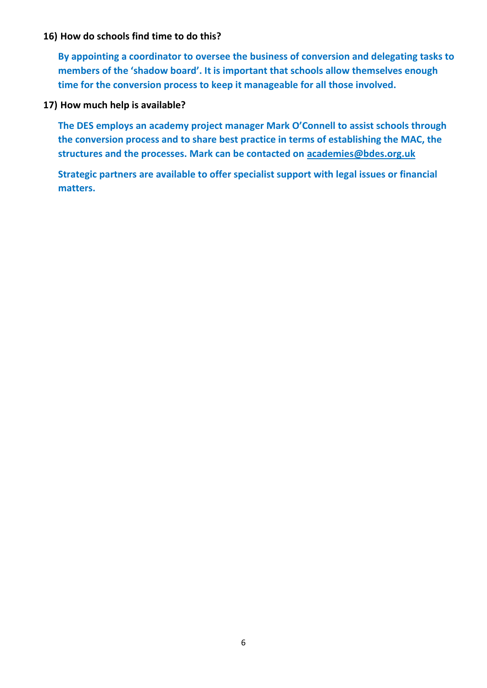#### **16) How do schools find time to do this?**

**By appointing a coordinator to oversee the business of conversion and delegating tasks to members of the 'shadow board'. It is important that schools allow themselves enough time for the conversion process to keep it manageable for all those involved.**

#### **17) How much help is available?**

**The DES employs an academy project manager Mark O'Connell to assist schools through the conversion process and to share best practice in terms of establishing the MAC, the structures and the processes. Mark can be contacted on [academies@bdes.org.uk](mailto:academies@bdes.org.uk)**

**Strategic partners are available to offer specialist support with legal issues or financial matters.**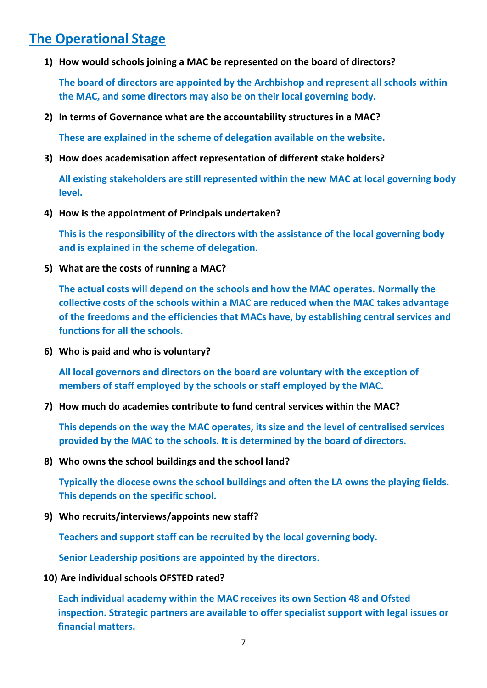# **The Operational Stage**

**1) How would schools joining a MAC be represented on the board of directors?**

**The board of directors are appointed by the Archbishop and represent all schools within the MAC, and some directors may also be on their local governing body.**

**2) In terms of Governance what are the accountability structures in a MAC?**

**These are explained in the scheme of delegation available on the website.**

**3) How does academisation affect representation of different stake holders?**

**All existing stakeholders are still represented within the new MAC at local governing body level.**

**4) How is the appointment of Principals undertaken?**

**This is the responsibility of the directors with the assistance of the local governing body and is explained in the scheme of delegation.**

**5) What are the costs of running a MAC?**

**The actual costs will depend on the schools and how the MAC operates. Normally the collective costs of the schools within a MAC are reduced when the MAC takes advantage of the freedoms and the efficiencies that MACs have, by establishing central services and functions for all the schools.** 

**6) Who is paid and who is voluntary?**

**All local governors and directors on the board are voluntary with the exception of members of staff employed by the schools or staff employed by the MAC.**

**7) How much do academies contribute to fund central services within the MAC?**

**This depends on the way the MAC operates, its size and the level of centralised services provided by the MAC to the schools. It is determined by the board of directors.**

**8) Who owns the school buildings and the school land?**

**Typically the diocese owns the school buildings and often the LA owns the playing fields. This depends on the specific school.**

**9) Who recruits/interviews/appoints new staff?**

**Teachers and support staff can be recruited by the local governing body.**

**Senior Leadership positions are appointed by the directors.**

**10) Are individual schools OFSTED rated?**

**Each individual academy within the MAC receives its own Section 48 and Ofsted inspection. Strategic partners are available to offer specialist support with legal issues or financial matters.**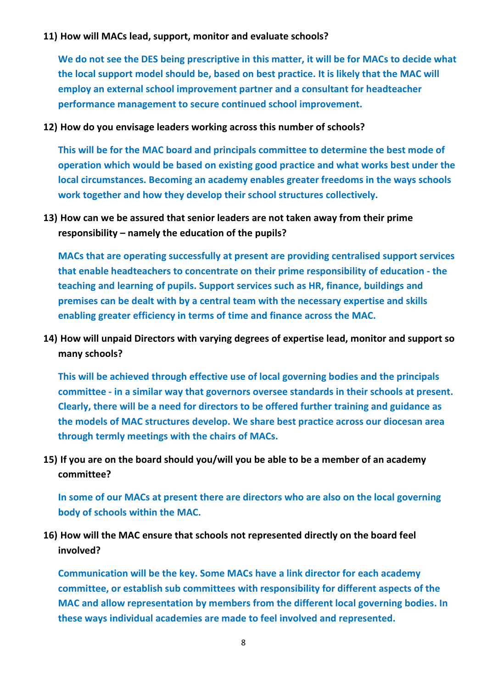#### **11) How will MACs lead, support, monitor and evaluate schools?**

**We do not see the DES being prescriptive in this matter, it will be for MACs to decide what the local support model should be, based on best practice. It is likely that the MAC will employ an external school improvement partner and a consultant for headteacher performance management to secure continued school improvement.**

#### **12) How do you envisage leaders working across this number of schools?**

**This will be for the MAC board and principals committee to determine the best mode of operation which would be based on existing good practice and what works best under the local circumstances. Becoming an academy enables greater freedoms in the ways schools work together and how they develop their school structures collectively.**

## **13) How can we be assured that senior leaders are not taken away from their prime responsibility – namely the education of the pupils?**

**MACs that are operating successfully at present are providing centralised support services that enable headteachers to concentrate on their prime responsibility of education - the teaching and learning of pupils. Support services such as HR, finance, buildings and premises can be dealt with by a central team with the necessary expertise and skills enabling greater efficiency in terms of time and finance across the MAC.**

## **14) How will unpaid Directors with varying degrees of expertise lead, monitor and support so many schools?**

**This will be achieved through effective use of local governing bodies and the principals committee - in a similar way that governors oversee standards in their schools at present. Clearly, there will be a need for directors to be offered further training and guidance as the models of MAC structures develop. We share best practice across our diocesan area through termly meetings with the chairs of MACs.**

## **15) If you are on the board should you/will you be able to be a member of an academy committee?**

**In some of our MACs at present there are directors who are also on the local governing body of schools within the MAC.**

## **16) How will the MAC ensure that schools not represented directly on the board feel involved?**

**Communication will be the key. Some MACs have a link director for each academy committee, or establish sub committees with responsibility for different aspects of the MAC and allow representation by members from the different local governing bodies. In these ways individual academies are made to feel involved and represented.**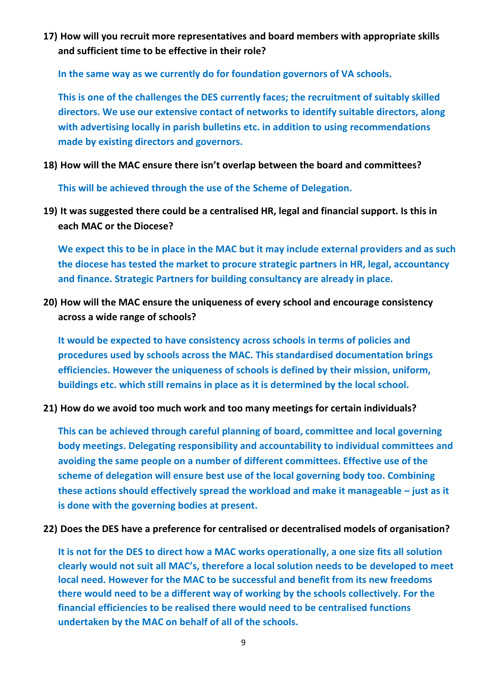**17) How will you recruit more representatives and board members with appropriate skills and sufficient time to be effective in their role?** 

**In the same way as we currently do for foundation governors of VA schools.** 

**This is one of the challenges the DES currently faces; the recruitment of suitably skilled directors. We use our extensive contact of networks to identify suitable directors, along with advertising locally in parish bulletins etc. in addition to using recommendations made by existing directors and governors.**

**18) How will the MAC ensure there isn't overlap between the board and committees?** 

**This will be achieved through the use of the Scheme of Delegation.**

**19) It was suggested there could be a centralised HR, legal and financial support. Is this in each MAC or the Diocese?** 

**We expect this to be in place in the MAC but it may include external providers and as such the diocese has tested the market to procure strategic partners in HR, legal, accountancy and finance. Strategic Partners for building consultancy are already in place.**

**20) How will the MAC ensure the uniqueness of every school and encourage consistency across a wide range of schools?** 

**It would be expected to have consistency across schools in terms of policies and procedures used by schools across the MAC. This standardised documentation brings efficiencies. However the uniqueness of schools is defined by their mission, uniform, buildings etc. which still remains in place as it is determined by the local school.**

**21) How do we avoid too much work and too many meetings for certain individuals?**

**This can be achieved through careful planning of board, committee and local governing body meetings. Delegating responsibility and accountability to individual committees and avoiding the same people on a number of different committees. Effective use of the scheme of delegation will ensure best use of the local governing body too. Combining these actions should effectively spread the workload and make it manageable – just as it is done with the governing bodies at present.**

**22) Does the DES have a preference for centralised or decentralised models of organisation?** 

**It is not for the DES to direct how a MAC works operationally, a one size fits all solution clearly would not suit all MAC's, therefore a local solution needs to be developed to meet local need. However for the MAC to be successful and benefit from its new freedoms there would need to be a different way of working by the schools collectively. For the financial efficiencies to be realised there would need to be centralised functions undertaken by the MAC on behalf of all of the schools.**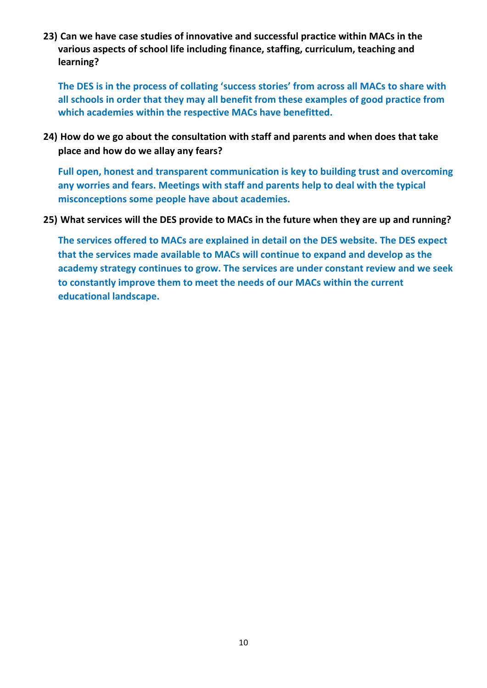**23) Can we have case studies of innovative and successful practice within MACs in the various aspects of school life including finance, staffing, curriculum, teaching and learning?**

**The DES is in the process of collating 'success stories' from across all MACs to share with all schools in order that they may all benefit from these examples of good practice from which academies within the respective MACs have benefitted.**

**24) How do we go about the consultation with staff and parents and when does that take place and how do we allay any fears?**

**Full open, honest and transparent communication is key to building trust and overcoming any worries and fears. Meetings with staff and parents help to deal with the typical misconceptions some people have about academies.**

#### **25) What services will the DES provide to MACs in the future when they are up and running?**

**The services offered to MACs are explained in detail on the DES website. The DES expect that the services made available to MACs will continue to expand and develop as the academy strategy continues to grow. The services are under constant review and we seek to constantly improve them to meet the needs of our MACs within the current educational landscape.**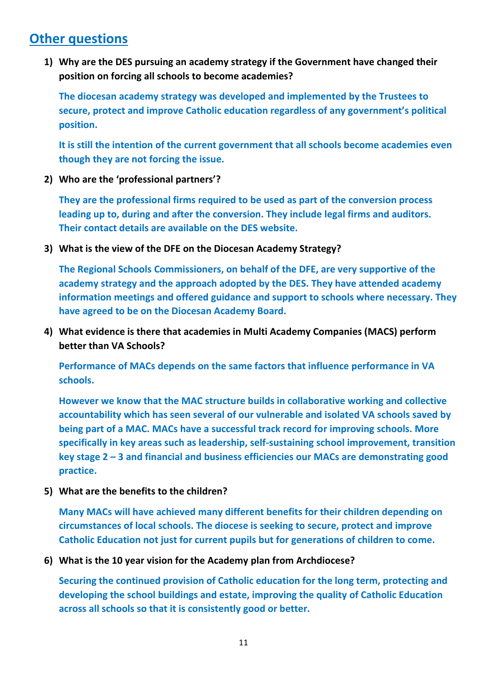# **Other questions**

**1) Why are the DES pursuing an academy strategy if the Government have changed their position on forcing all schools to become academies?**

**The diocesan academy strategy was developed and implemented by the Trustees to secure, protect and improve Catholic education regardless of any government's political position.**

**It is still the intention of the current government that all schools become academies even though they are not forcing the issue.**

**2) Who are the 'professional partners'?**

**They are the professional firms required to be used as part of the conversion process leading up to, during and after the conversion. They include legal firms and auditors. Their contact details are available on the DES website.**

**3) What is the view of the DFE on the Diocesan Academy Strategy?**

**The Regional Schools Commissioners, on behalf of the DFE, are very supportive of the academy strategy and the approach adopted by the DES. They have attended academy information meetings and offered guidance and support to schools where necessary. They have agreed to be on the Diocesan Academy Board.**

**4) What evidence is there that academies in Multi Academy Companies (MACS) perform better than VA Schools?**

**Performance of MACs depends on the same factors that influence performance in VA schools.**

**However we know that the MAC structure builds in collaborative working and collective accountability which has seen several of our vulnerable and isolated VA schools saved by being part of a MAC. MACs have a successful track record for improving schools. More specifically in key areas such as leadership, self-sustaining school improvement, transition key stage 2 – 3 and financial and business efficiencies our MACs are demonstrating good practice.**

**5) What are the benefits to the children?** 

**Many MACs will have achieved many different benefits for their children depending on circumstances of local schools. The diocese is seeking to secure, protect and improve Catholic Education not just for current pupils but for generations of children to come.**

**6) What is the 10 year vision for the Academy plan from Archdiocese?**

**Securing the continued provision of Catholic education for the long term, protecting and developing the school buildings and estate, improving the quality of Catholic Education across all schools so that it is consistently good or better.**